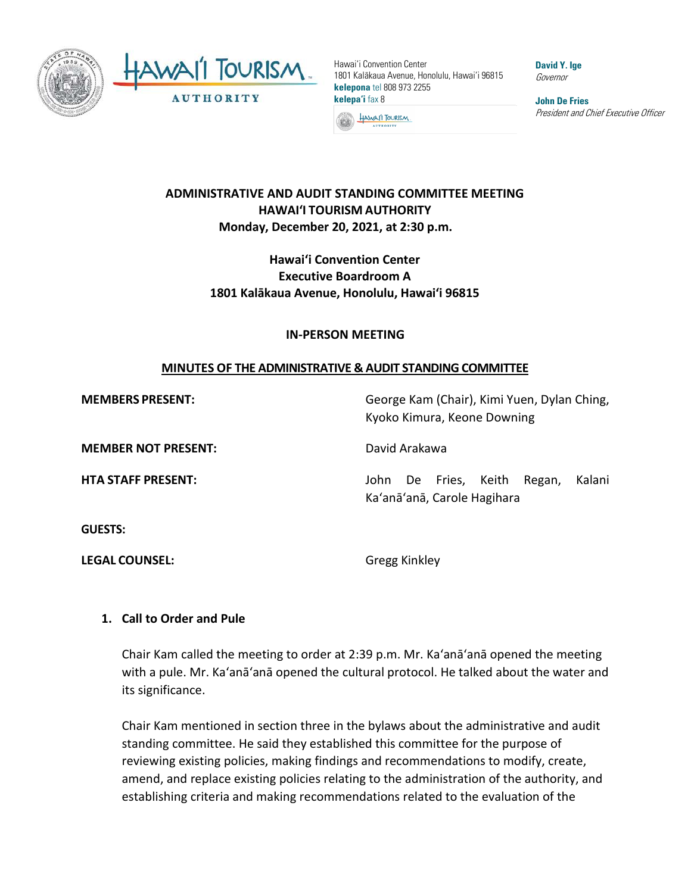

Hawai'i Convention Center 1801 Kalākaua Avenue, Honolulu, Hawai'i 96815 **kelepona** tel 808 973 2255 **kelepa'i** fax 8

HAWAI'I TOURISM **AUTHORITY** 

**David Y. Ige** Governor

**John De Fries** President and Chief Executive Officer

### **ADMINISTRATIVE AND AUDIT STANDING COMMITTEE MEETING HAWAI'I TOURISM AUTHORITY Monday, December 20, 2021, at 2:30 p.m.**

# **Hawaiʻi Convention Center Executive Boardroom A 1801 Kalākaua Avenue, Honolulu, Hawaiʻi 96815**

#### **IN-PERSON MEETING**

### **MINUTES OF THE ADMINISTRATIVE & AUDIT STANDING COMMITTEE**

**MEMBERS PRESENT:** George Kam (Chair), Kimi Yuen, Dylan Ching, Kyoko Kimura, Keone Downing

**MEMBER NOT PRESENT:** David Arakawa

**GUESTS:**

**LEGAL COUNSEL:** Gregg Kinkley

**HTA STAFF PRESENT:** John De Fries, Keith Regan, Kalani Ka'anā'anā, Carole Hagihara

# **1. Call to Order and Pule**

Chair Kam called the meeting to order at 2:39 p.m. Mr. Ka'anā'anā opened the meeting with a pule. Mr. Ka'anā'anā opened the cultural protocol. He talked about the water and its significance.

Chair Kam mentioned in section three in the bylaws about the administrative and audit standing committee. He said they established this committee for the purpose of reviewing existing policies, making findings and recommendations to modify, create, amend, and replace existing policies relating to the administration of the authority, and establishing criteria and making recommendations related to the evaluation of the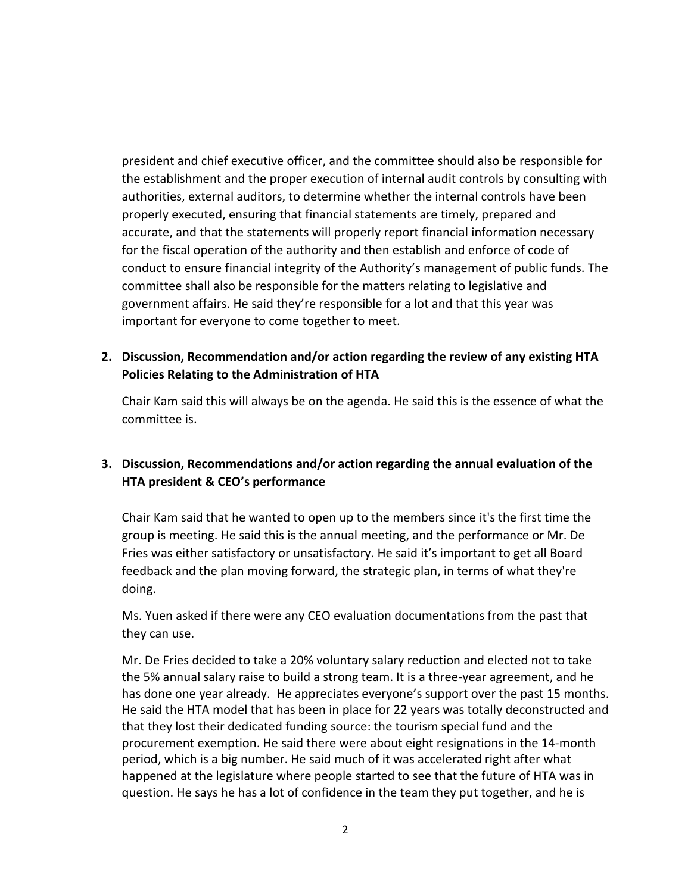president and chief executive officer, and the committee should also be responsible for the establishment and the proper execution of internal audit controls by consulting with authorities, external auditors, to determine whether the internal controls have been properly executed, ensuring that financial statements are timely, prepared and accurate, and that the statements will properly report financial information necessary for the fiscal operation of the authority and then establish and enforce of code of conduct to ensure financial integrity of the Authority's management of public funds. The committee shall also be responsible for the matters relating to legislative and government affairs. He said they're responsible for a lot and that this year was important for everyone to come together to meet.

## **2. Discussion, Recommendation and/or action regarding the review of any existing HTA Policies Relating to the Administration of HTA**

Chair Kam said this will always be on the agenda. He said this is the essence of what the committee is.

# **3. Discussion, Recommendations and/or action regarding the annual evaluation of the HTA president & CEO's performance**

Chair Kam said that he wanted to open up to the members since it's the first time the group is meeting. He said this is the annual meeting, and the performance or Mr. De Fries was either satisfactory or unsatisfactory. He said it's important to get all Board feedback and the plan moving forward, the strategic plan, in terms of what they're doing.

Ms. Yuen asked if there were any CEO evaluation documentations from the past that they can use.

Mr. De Fries decided to take a 20% voluntary salary reduction and elected not to take the 5% annual salary raise to build a strong team. It is a three-year agreement, and he has done one year already. He appreciates everyone's support over the past 15 months. He said the HTA model that has been in place for 22 years was totally deconstructed and that they lost their dedicated funding source: the tourism special fund and the procurement exemption. He said there were about eight resignations in the 14-month period, which is a big number. He said much of it was accelerated right after what happened at the legislature where people started to see that the future of HTA was in question. He says he has a lot of confidence in the team they put together, and he is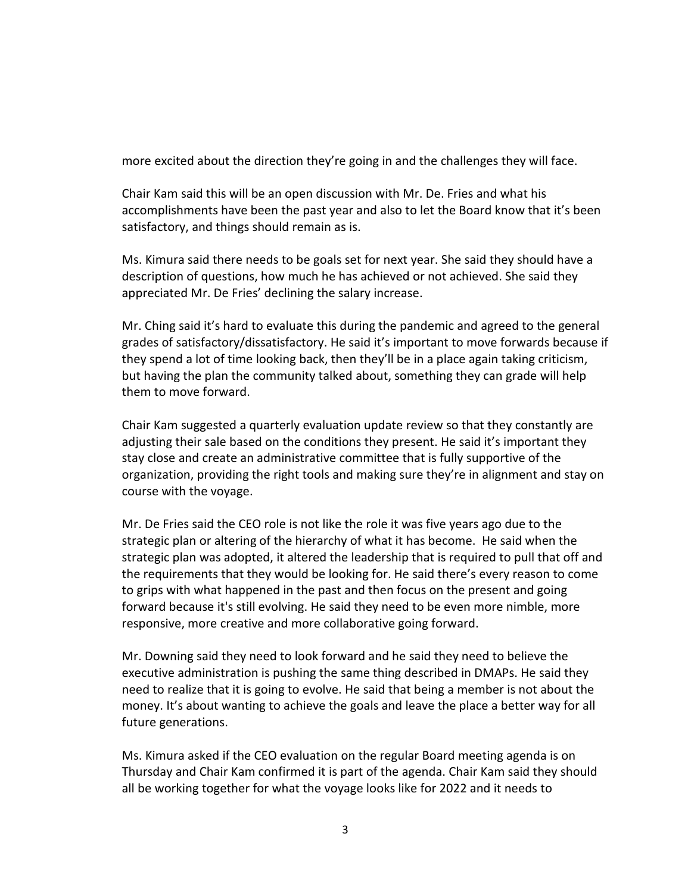more excited about the direction they're going in and the challenges they will face.

Chair Kam said this will be an open discussion with Mr. De. Fries and what his accomplishments have been the past year and also to let the Board know that it's been satisfactory, and things should remain as is.

Ms. Kimura said there needs to be goals set for next year. She said they should have a description of questions, how much he has achieved or not achieved. She said they appreciated Mr. De Fries' declining the salary increase.

Mr. Ching said it's hard to evaluate this during the pandemic and agreed to the general grades of satisfactory/dissatisfactory. He said it's important to move forwards because if they spend a lot of time looking back, then they'll be in a place again taking criticism, but having the plan the community talked about, something they can grade will help them to move forward.

Chair Kam suggested a quarterly evaluation update review so that they constantly are adjusting their sale based on the conditions they present. He said it's important they stay close and create an administrative committee that is fully supportive of the organization, providing the right tools and making sure they're in alignment and stay on course with the voyage.

Mr. De Fries said the CEO role is not like the role it was five years ago due to the strategic plan or altering of the hierarchy of what it has become. He said when the strategic plan was adopted, it altered the leadership that is required to pull that off and the requirements that they would be looking for. He said there's every reason to come to grips with what happened in the past and then focus on the present and going forward because it's still evolving. He said they need to be even more nimble, more responsive, more creative and more collaborative going forward.

Mr. Downing said they need to look forward and he said they need to believe the executive administration is pushing the same thing described in DMAPs. He said they need to realize that it is going to evolve. He said that being a member is not about the money. It's about wanting to achieve the goals and leave the place a better way for all future generations.

Ms. Kimura asked if the CEO evaluation on the regular Board meeting agenda is on Thursday and Chair Kam confirmed it is part of the agenda. Chair Kam said they should all be working together for what the voyage looks like for 2022 and it needs to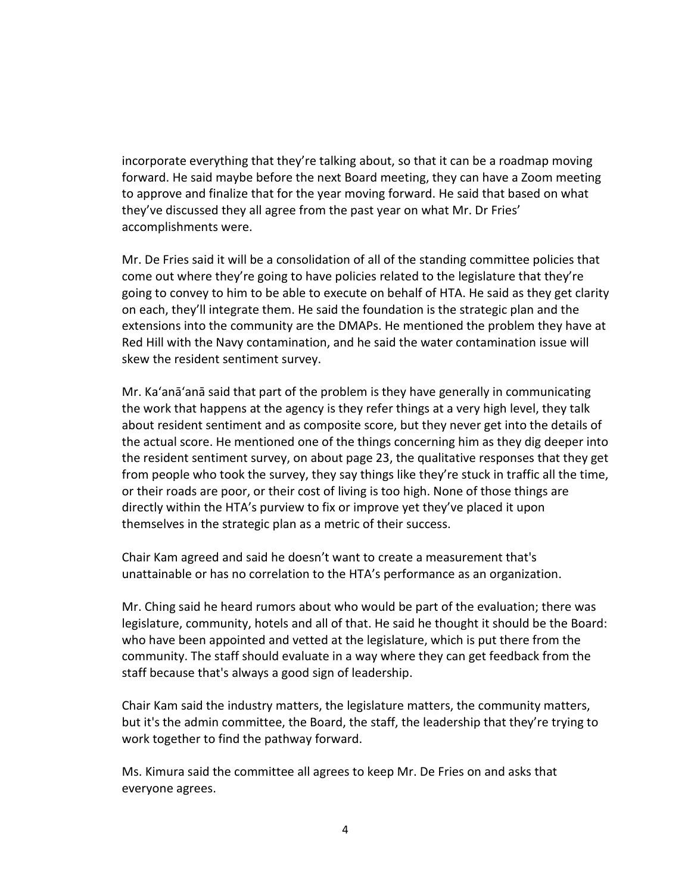incorporate everything that they're talking about, so that it can be a roadmap moving forward. He said maybe before the next Board meeting, they can have a Zoom meeting to approve and finalize that for the year moving forward. He said that based on what they've discussed they all agree from the past year on what Mr. Dr Fries' accomplishments were.

Mr. De Fries said it will be a consolidation of all of the standing committee policies that come out where they're going to have policies related to the legislature that they're going to convey to him to be able to execute on behalf of HTA. He said as they get clarity on each, they'll integrate them. He said the foundation is the strategic plan and the extensions into the community are the DMAPs. He mentioned the problem they have at Red Hill with the Navy contamination, and he said the water contamination issue will skew the resident sentiment survey.

Mr. Ka'anā'anā said that part of the problem is they have generally in communicating the work that happens at the agency is they refer things at a very high level, they talk about resident sentiment and as composite score, but they never get into the details of the actual score. He mentioned one of the things concerning him as they dig deeper into the resident sentiment survey, on about page 23, the qualitative responses that they get from people who took the survey, they say things like they're stuck in traffic all the time, or their roads are poor, or their cost of living is too high. None of those things are directly within the HTA's purview to fix or improve yet they've placed it upon themselves in the strategic plan as a metric of their success.

Chair Kam agreed and said he doesn't want to create a measurement that's unattainable or has no correlation to the HTA's performance as an organization.

Mr. Ching said he heard rumors about who would be part of the evaluation; there was legislature, community, hotels and all of that. He said he thought it should be the Board: who have been appointed and vetted at the legislature, which is put there from the community. The staff should evaluate in a way where they can get feedback from the staff because that's always a good sign of leadership.

Chair Kam said the industry matters, the legislature matters, the community matters, but it's the admin committee, the Board, the staff, the leadership that they're trying to work together to find the pathway forward.

Ms. Kimura said the committee all agrees to keep Mr. De Fries on and asks that everyone agrees.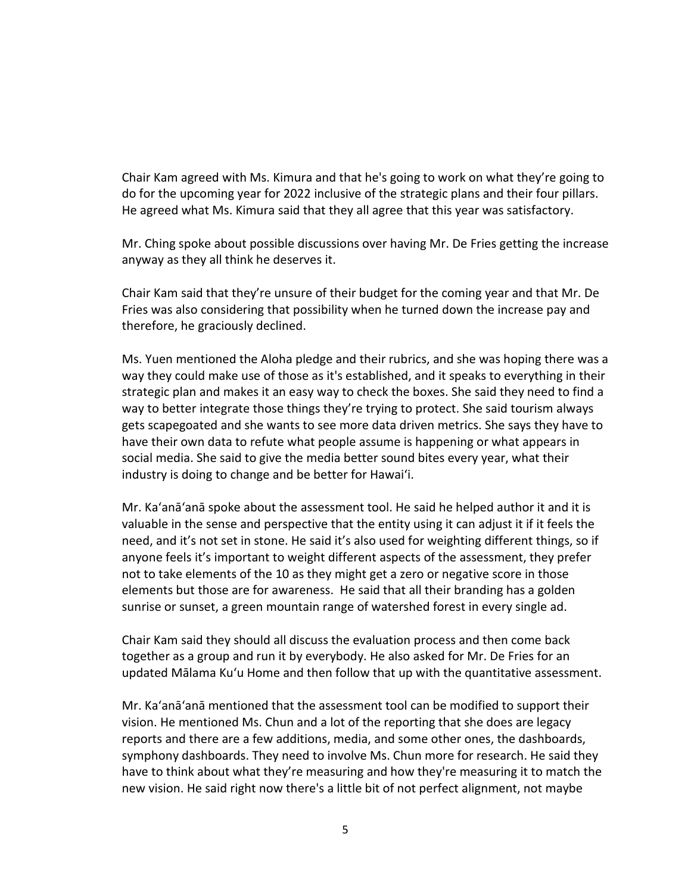Chair Kam agreed with Ms. Kimura and that he's going to work on what they're going to do for the upcoming year for 2022 inclusive of the strategic plans and their four pillars. He agreed what Ms. Kimura said that they all agree that this year was satisfactory.

Mr. Ching spoke about possible discussions over having Mr. De Fries getting the increase anyway as they all think he deserves it.

Chair Kam said that they're unsure of their budget for the coming year and that Mr. De Fries was also considering that possibility when he turned down the increase pay and therefore, he graciously declined.

Ms. Yuen mentioned the Aloha pledge and their rubrics, and she was hoping there was a way they could make use of those as it's established, and it speaks to everything in their strategic plan and makes it an easy way to check the boxes. She said they need to find a way to better integrate those things they're trying to protect. She said tourism always gets scapegoated and she wants to see more data driven metrics. She says they have to have their own data to refute what people assume is happening or what appears in social media. She said to give the media better sound bites every year, what their industry is doing to change and be better for Hawai'i.

Mr. Ka'anā'anā spoke about the assessment tool. He said he helped author it and it is valuable in the sense and perspective that the entity using it can adjust it if it feels the need, and it's not set in stone. He said it's also used for weighting different things, so if anyone feels it's important to weight different aspects of the assessment, they prefer not to take elements of the 10 as they might get a zero or negative score in those elements but those are for awareness. He said that all their branding has a golden sunrise or sunset, a green mountain range of watershed forest in every single ad.

Chair Kam said they should all discuss the evaluation process and then come back together as a group and run it by everybody. He also asked for Mr. De Fries for an updated Mālama Ku'u Home and then follow that up with the quantitative assessment.

Mr. Ka'anā'anā mentioned that the assessment tool can be modified to support their vision. He mentioned Ms. Chun and a lot of the reporting that she does are legacy reports and there are a few additions, media, and some other ones, the dashboards, symphony dashboards. They need to involve Ms. Chun more for research. He said they have to think about what they're measuring and how they're measuring it to match the new vision. He said right now there's a little bit of not perfect alignment, not maybe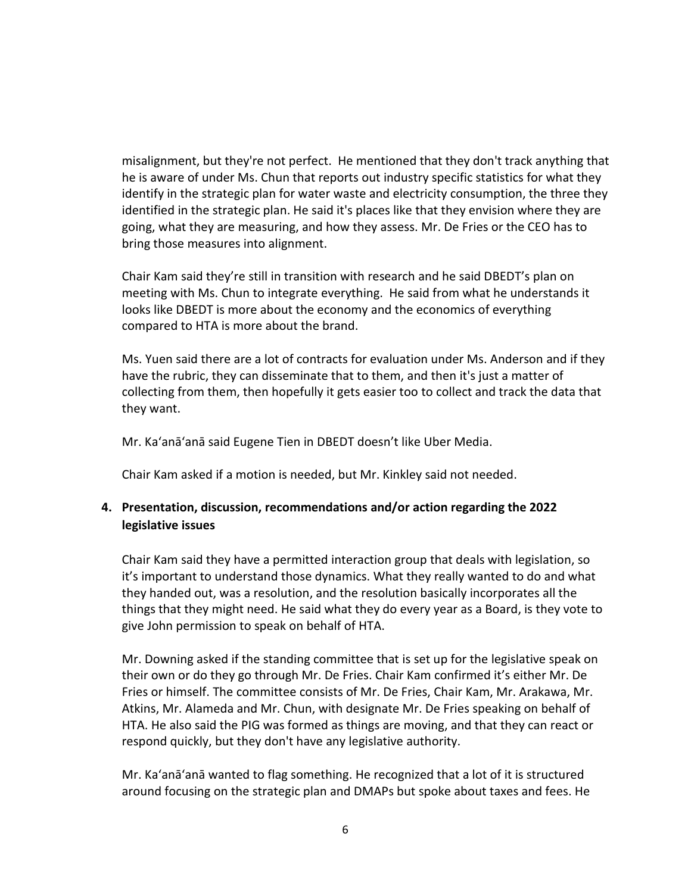misalignment, but they're not perfect. He mentioned that they don't track anything that he is aware of under Ms. Chun that reports out industry specific statistics for what they identify in the strategic plan for water waste and electricity consumption, the three they identified in the strategic plan. He said it's places like that they envision where they are going, what they are measuring, and how they assess. Mr. De Fries or the CEO has to bring those measures into alignment.

Chair Kam said they're still in transition with research and he said DBEDT's plan on meeting with Ms. Chun to integrate everything. He said from what he understands it looks like DBEDT is more about the economy and the economics of everything compared to HTA is more about the brand.

Ms. Yuen said there are a lot of contracts for evaluation under Ms. Anderson and if they have the rubric, they can disseminate that to them, and then it's just a matter of collecting from them, then hopefully it gets easier too to collect and track the data that they want.

Mr. Ka'anā'anā said Eugene Tien in DBEDT doesn't like Uber Media.

Chair Kam asked if a motion is needed, but Mr. Kinkley said not needed.

## **4. Presentation, discussion, recommendations and/or action regarding the 2022 legislative issues**

Chair Kam said they have a permitted interaction group that deals with legislation, so it's important to understand those dynamics. What they really wanted to do and what they handed out, was a resolution, and the resolution basically incorporates all the things that they might need. He said what they do every year as a Board, is they vote to give John permission to speak on behalf of HTA.

Mr. Downing asked if the standing committee that is set up for the legislative speak on their own or do they go through Mr. De Fries. Chair Kam confirmed it's either Mr. De Fries or himself. The committee consists of Mr. De Fries, Chair Kam, Mr. Arakawa, Mr. Atkins, Mr. Alameda and Mr. Chun, with designate Mr. De Fries speaking on behalf of HTA. He also said the PIG was formed as things are moving, and that they can react or respond quickly, but they don't have any legislative authority.

Mr. Ka'anā'anā wanted to flag something. He recognized that a lot of it is structured around focusing on the strategic plan and DMAPs but spoke about taxes and fees. He